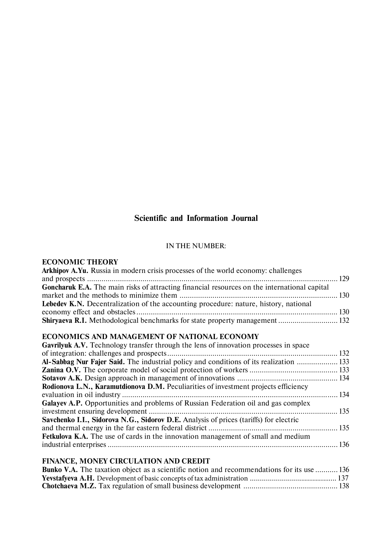# **Scientific and Information Journal**

## IN THE NUMBER:

## **ECONOMIC THEORY**

| <b>Arkhipov A.Yu.</b> Russia in modern crisis processes of the world economy: challenges     |  |
|----------------------------------------------------------------------------------------------|--|
|                                                                                              |  |
| Goncharuk E.A. The main risks of attracting financial resources on the international capital |  |
|                                                                                              |  |
| <b>Lebedev K.N.</b> Decentralization of the accounting procedure: nature, history, national  |  |
|                                                                                              |  |
|                                                                                              |  |

## **ECONOMICS AND MANAGEMENT OF NATIONAL ECONOMY**

| <b>Gavrilyuk A.V.</b> Technology transfer through the lens of innovation processes in space |  |
|---------------------------------------------------------------------------------------------|--|
|                                                                                             |  |
| Al-Sabbag Nur Fajer Said. The industrial policy and conditions of its realization  133      |  |
|                                                                                             |  |
|                                                                                             |  |
| Rodionova L.N., Karamutdionova D.M. Peculiarities of investment projects efficiency         |  |
|                                                                                             |  |
| <b>Galayev A.P.</b> Opportunities and problems of Russian Federation oil and gas complex    |  |
|                                                                                             |  |
| Savchenko I.I., Sidorova N.G., Sidorov D.E. Analysis of prices (tariffs) for electric       |  |
|                                                                                             |  |
| <b>Fetkulova K.A.</b> The use of cards in the innovation management of small and medium     |  |
|                                                                                             |  |
|                                                                                             |  |

## **FINANCE, MONEY CIRCULATION AND CREDIT**

| <b>Bunko V.A.</b> The taxation object as a scientific notion and recommendations for its use  136 |  |
|---------------------------------------------------------------------------------------------------|--|
|                                                                                                   |  |
|                                                                                                   |  |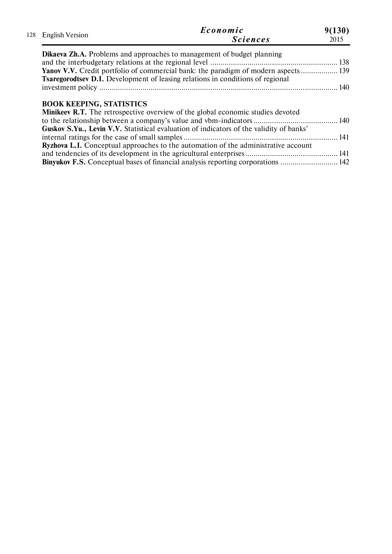| 128 English Version             | Economic<br><b>Sciences</b>                                                                    | 9(130)<br>2015 |
|---------------------------------|------------------------------------------------------------------------------------------------|----------------|
|                                 | <b>Dikaeva Zh.A.</b> Problems and approaches to management of budget planning                  |                |
|                                 |                                                                                                |                |
|                                 | Yanov V.V. Credit portfolio of commercial bank: the paradigm of modern aspects 139             |                |
|                                 | <b>Tsaregorodtsey D.I.</b> Development of leasing relations in conditions of regional          |                |
|                                 |                                                                                                |                |
| <b>BOOK KEEPING, STATISTICS</b> | <b>Minikeev R.T.</b> The retrospective overview of the global economic studies devoted         |                |
|                                 |                                                                                                |                |
|                                 | <b>Guskov S.Yu., Levin V.V.</b> Statistical evaluation of indicators of the validity of banks' |                |
|                                 |                                                                                                |                |
|                                 | <b>Ryzhova L.I.</b> Conceptual approaches to the automation of the administrative account      |                |
|                                 |                                                                                                |                |
|                                 |                                                                                                |                |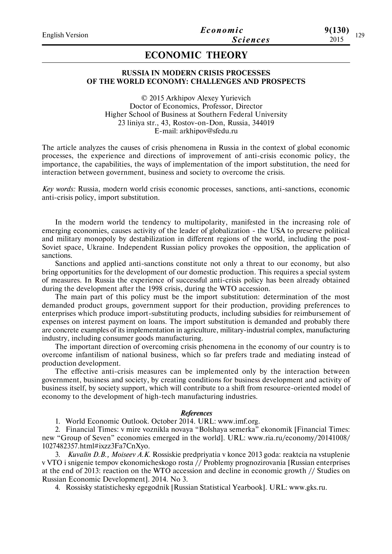### **RUSSIA IN MODERN CRISIS PROCESSES OF THE WORLD ECONOMY: CHALLENGES AND PROSPECTS**

© 2015 Arkhipov Alexey Yurievich Doctor of Economics, Professor, Director Higher School of Business at Southern Federal University 23 liniya str., 43, Rostov-on-Don, Russia, 344019 E-mail: arkhipov@sfedu.ru

The article analyzes the causes of crisis phenomena in Russia in the context of global economic processes, the experience and directions of improvement of anti-crisis economic policy, the importance, the capabilities, the ways of implementation of the import substitution, the need for interaction between government, business and society to overcome the crisis.

*Key words:* Russia, modern world crisis economic processes, sanctions, anti-sanctions, economic anti-crisis policy, import substitution.

In the modern world the tendency to multipolarity, manifested in the increasing role of emerging economies, causes activity of the leader of globalization - the USA to preserve political and military monopoly by destabilization in different regions of the world, including the post-Soviet space, Ukraine. Independent Russian policy provokes the opposition, the application of sanctions.

Sanctions and applied anti-sanctions constitute not only a threat to our economy, but also bring opportunities for the development of our domestic production. This requires a special system of measures. In Russia the experience of successful anti-crisis policy has been already obtained during the development after the 1998 crisis, during the WTO accession.

The main part of this policy must be the import substitution: determination of the most demanded product groups, government support for their production, providing preferences to enterprises which produce import-substituting products, including subsidies for reimbursement of expenses on interest payment on loans. The import substitution is demanded and probably there are concrete examples of its implementation in agriculture, military-industrial complex, manufacturing industry, including consumer goods manufacturing.

The important direction of overcoming crisis phenomena in the economy of our country is to overcome infantilism of national business, which so far prefers trade and mediating instead of production development.

The effective anti-crisis measures can be implemented only by the interaction between government, business and society, by creating conditions for business development and activity of business itself, by society support, which will contribute to a shift from resource-oriented model of economy to the development of high-tech manufacturing industries.

#### *References*

1. World Economic Outlook. October 2014. URL: www.imf.org.

2. Financial Times: v mire voznikla novaya "Bolshaya semerka" ekonomik [Financial Times: new "Group of Seven" economies emerged in the world]. URL: www.ria.ru/economy/20141008/ 1027482357.html#ixzz3Fa7CnXyo.

3. *Kuvalin D.B., Moiseev A.K.* Rossiskie predpriyatia v konce 2013 goda: reaktcia na vstuplenie v VTO i snigenie tempov ekonomicheskogo rosta // Problemy prognozirovania [Russian enterprises at the end of 2013: reaction on the WTO accession and decline in economic growth // Studies on Russian Economic Development]. 2014. No 3.

4. Rossisky statistichesky egegodnik [Russian Statistical Yearbook]. URL: www.gks.ru.

**9(130)**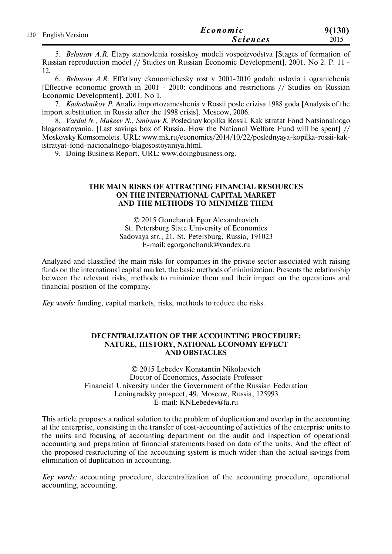|                     | Economic        | 9(130) |
|---------------------|-----------------|--------|
| 130 English Version | <b>Sciences</b> | 2015   |

5. *Belousov A.R.* Etapy stanovlenia rossiskoy modeli vospoizvodstva [Stages of formation of Russian reproduction model // Studies on Russian Economic Development]. 2001. No 2. P. 11 - 12.

6. *Belousov A.R.* Effktivny ekonomichesky rost v 2001-2010 godah: uslovia i ogranichenia [Effective economic growth in 2001 - 2010: conditions and restrictions // Studies on Russian Economic Development]. 2001. No 1.

7. *Kadochnikov P.* Analiz importozameshenia v Rossii posle crizisa 1988 goda [Analysis of the import substitution in Russia after the 1998 crisis]. Мoscow, 2006.

8. *Vardul N., Makeev N., Smirnov K.* Poslednay kopilka Rossii. Kak istratat Fond Natsionalnogo blagosostoyania. [Last savings box of Russia. How the National Welfare Fund will be spent] // Moskovsky Komsomolets. URL: www.mk.ru/economics/2014/10/22/poslednyaya-kopilka-rossii-kakistratyat-fond-nacionalnogo-blagosostoyaniya.html.

9. Doing Business Report. URL: www.doingbusiness.org.

#### **THE MAIN RISKS OF ATTRACTING FINANCIAL RESOURCES ON THE INTERNATIONAL CAPITAL MARKET AND THE METHODS TO MINIMIZE THEM**

© 2015 Goncharuk Egor Alexandrovich St. Petersburg State University of Economics Sadovaya str., 21, St. Petersburg, Russia, 191023 E-mail: egorgoncharuk@yandex.ru

Analyzed and classified the main risks for companies in the private sector associated with raising funds on the international capital market, the basic methods of minimization. Presents the relationship between the relevant risks, methods to minimize them and their impact on the operations and financial position of the company.

*Key words:* funding, capital markets, risks, methods to reduce the risks.

#### **DECENTRALIZATION OF THE ACCOUNTING PROCEDURE: NATURE, HISTORY, NATIONAL ECONOMY EFFECT AND OBSTACLES**

© 2015 Lebedev Konstantin Nikolaevich Doctor of Economics, Associate Professor Financial University under the Government of the Russian Federation Leningradsky prospect, 49, Moscow, Russia, 125993 E-mail: KNLebedev@fa.ru

This article proposes a radical solution to the problem of duplication and overlap in the accounting at the enterprise, consisting in the transfer of cost-accounting of activities of the enterprise units to the units and focusing of accounting department on the audit and inspection of operational accounting and preparation of financial statements based on data of the units. And the effect of the proposed restructuring of the accounting system is much wider than the actual savings from elimination of duplication in accounting.

*Key words:* accounting procedure, decentralization of the accounting procedure, operational accounting, accounting.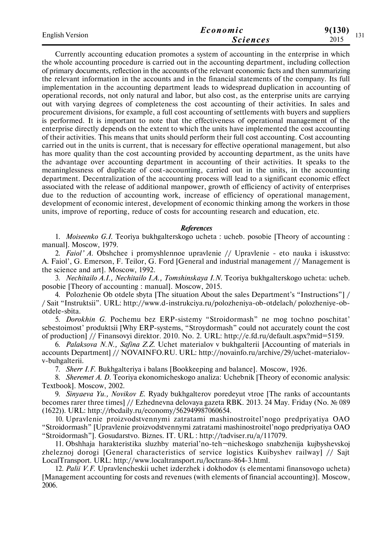| <b>English Version</b> | Economic        | 9(130)<br>121 |
|------------------------|-----------------|---------------|
|                        | <i>Sciences</i> | 2015<br>1 J 1 |

Currently accounting education promotes a system of accounting in the enterprise in which the whole accounting procedure is carried out in the accounting department, including collection of primary documents, reflection in the accounts of the relevant economic facts and then summarizing the relevant information in the accounts and in the financial statements of the company. Its full implementation in the accounting department leads to widespread duplication in accounting of operational records, not only natural and labor, but also cost, as the enterprise units are carrying out with varying degrees of completeness the cost accounting of their activities. In sales and procurement divisions, for example, a full cost accounting of settlements with buyers and suppliers is performed. It is important to note that the effectiveness of operational management of the enterprise directly depends on the extent to which the units have implemented the cost accounting of their activities. This means that units should perform their full cost accounting. Cost accounting carried out in the units is current, that is necessary for effective operational management, but also has more quality than the cost accounting provided by accounting department, as the units have the advantage over accounting department in accounting of their activities. It speaks to the meaninglessness of duplicate of cost-accounting, carried out in the units, in the accounting department. Decentralization of the accounting process will lead to a significant economic effect associated with the release of additional manpower, growth of efficiency of activity of enterprises due to the reduction of accounting work, increase of efficiency of operational management, development of economic interest, development of economic thinking among the workers in those units, improve of reporting, reduce of costs for accounting research and education, etc.

#### *References*

1. *Moiseenko G.I.* Teoriya bukhgalterskogo ucheta : ucheb. posobie [Theory of accounting : manual]. Moscow, 1979.

2. *Faiol' A.* Obshchee i promyshlennoe upravlenie // Upravlenie - eto nauka i iskusstvo: A. Faiol', G. Emerson, F. Teilor, G. Ford [General and industrial management // Management is the science and art]. Moscow, 1992.

3. *Nechitailo A.I., Nechitailo I.A., Tomshinskaya I.N.* Teoriya bukhgalterskogo ucheta: ucheb. posobie [Theory of accounting : manual]. Moscow, 2015.

4. Polozhenie Ob otdele sbyta [The situation About the sales Department's "Instructions"] / / Sait "Instruktsii". URL: http://www.d-instrukciya.ru/polozheniya-ob-otdelach/ polozheniye-obotdele-sbita.

5. *Dorokhin G.* Pochemu bez ERP-sistemy "Stroidormash" ne mog tochno poschitat' sebestoimost' produktsii [Why ERP-systems, "Stroydormash" could not accurately count the cost of production] // Finansovyi direktor*.* 2010. No. 2. URL: http://e.fd.ru/default.aspx?mid=5159.

6. *Palaksova N.N., Safina Z.Z.* Uchet materialov v bukhgalterii [Accounting of materials in accounts Department] // NOVAINFO.RU. URL: http://novainfo.ru/archive/29/uchet-materialovv-buhgalterii.

7. *Sherr I.F.* Bukhgalteriya i balans [Bookkeeping and balance]. Moscow, 1926.

8. *Sheremet A. D.* Teoriya ekonomicheskogo analiza: Uchebnik [Theory of economic analysis: Textbook]. Moscow, 2002.

9. *Sinyaeva Yu., Novikov E.* Ryady bukhgalterov poredeyut vtroe [The ranks of accountants becomes rarer three times] // Ezhednevna delovaya gazeta RBK. 2013. 24 May. Friday (No. № 089 (1622)). URL: http://rbcdaily.ru/economy/562949987060654.

10. Upravlenie proizvodstvennymi zatratami mashinostroitel'nogo predpriyatiya OAO "Stroidormash" [Upravlenie proizvodstvennymi zatratami mashinostroitel'nogo predpriyatiya OAO "Stroidormash"]. Gosudarstvo. Biznes. IT. URL : http://tadviser.ru/a/117079.

11. Obshhaja harakteristika sluzhby material'no-teh¬nicheskogo snabzhenija kujbyshevskoj zheleznoj dorogi [General characteristics of service logistics Kuibyshev railway] // Sajt LocalTransport. URL: http://www.localtransport.ru/loctrans-864-3.html.

12. *Palii V.F.* Upravlencheskii uchet izderzhek i dokhodov (s elementami finansovogo ucheta) [Management accounting for costs and revenues (with elements of financial accounting)]. Moscow, 2006.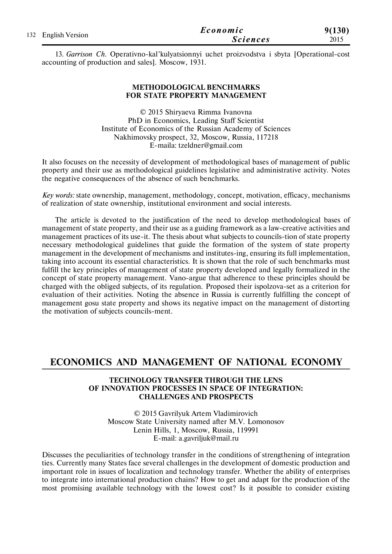| 132 English Version | Economic        | 9(130) |
|---------------------|-----------------|--------|
|                     | <b>Sciences</b> | 2015   |

13. *Garrison Ch.* Operativno-kal'kulyatsionnyi uchet proizvodstva i sbyta [Operational-cost accounting of production and sales]. Moscow, 1931.

#### **METHODOLOGICAL BENCHMARKS FOR STATE PROPERTY MANAGEMENT**

© 2015 Shiryaeva Rimma Ivanovna PhD in Economics, Leading Staff Scientist Institute of Economics of the Russian Academy of Sciences Nakhimovsky prospect, 32, Moscow, Russia, 117218 E-maila: tzeldner@gmail.com

It also focuses on the necessity of development of methodological bases of management of public property and their use as methodological guidelines legislative and administrative activity. Notes the negative consequences of the absence of such benchmarks.

*Key words:* state ownership, management, methodology, concept, motivation, efficacy, mechanisms of realization of state ownership, institutional environment and social interests.

The article is devoted to the justification of the need to develop methodological bases of management of state property, and their use as a guiding framework as a law-creative activities and management practices of its use-it. The thesis about what subjects to councils-tion of state property necessary methodological guidelines that guide the formation of the system of state property management in the development of mechanisms and institutes-ing, ensuring its full implementation, taking into account its essential characteristics. It is shown that the role of such benchmarks must fulfill the key principles of management of state property developed and legally formalized in the concept of state property management. Vano-argue that adherence to these principles should be charged with the obliged subjects, of its regulation. Proposed their ispolzova-set as a criterion for evaluation of their activities. Noting the absence in Russia is currently fulfilling the concept of management gosu state property and shows its negative impact on the management of distorting the motivation of subjects councils-ment.

## **ECONOMICS AND MANAGEMENT OF NATIONAL ECONOMY**

#### **TECHNOLOGY TRANSFER THROUGH THE LENS OF INNOVATION PROCESSES IN SPACE OF INTEGRATION: CHALLENGES AND PROSPECTS**

© 2015 Gavrilyuk Artem Vladimirovich Moscow State University named after M.V. Lomonosov Lenin Hills, 1, Moscow, Russia, 119991 E-mail: a.gavriljuk@mail.ru

Discusses the peculiarities of technology transfer in the conditions of strengthening of integration ties. Currently many States face several challenges in the development of domestic production and important role in issues of localization and technology transfer. Whether the ability of enterprises to integrate into international production chains? How to get and adapt for the production of the most promising available technology with the lowest cost? Is it possible to consider existing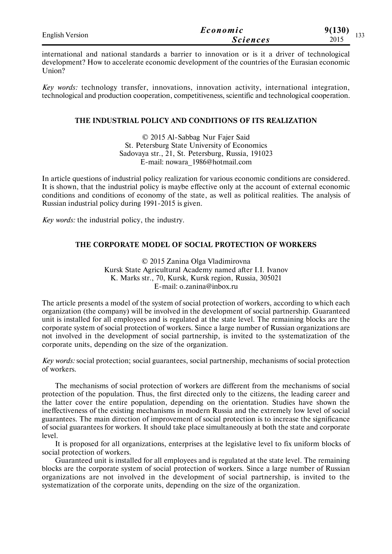| <b>English Version</b> | Economic        | 9(130)<br>$\sim$ $\sim$ |
|------------------------|-----------------|-------------------------|
|                        | <i>Sciences</i> | 1 J J<br>2015           |

international and national standards a barrier to innovation or is it a driver of technological development? How to accelerate economic development of the countries of the Eurasian economic Union?

*Key words:* technology transfer, innovations, innovation activity, international integration, technological and production cooperation, competitiveness, scientific and technological cooperation.

#### **THE INDUSTRIAL POLICY AND CONDITIONS OF ITS REALIZATION**

© 2015 Al-Sabbag Nur Fajer Said St. Petersburg State University of Economics Sadovaya str., 21, St. Petersburg, Russia, 191023 E-mail: nowara\_1986@hotmail.com

In article questions of industrial policy realization for various economic conditions are considered. It is shown, that the industrial policy is maybe effective only at the account of external economic conditions and conditions of economy of the state, as well as political realities. The analysis of Russian industrial policy during 1991-2015 is given.

*Key words:* the industrial policy, the industry.

## **THE CORPORATE MODEL OF SOCIAL PROTECTION OF WORKERS**

© 2015 Zanina Olga Vladimirovna Kursk State Agricultural Academy named after I.I. Ivanov K. Marks str., 70, Kursk, Kursk region, Russia, 305021 E-mail: o.zanina@inbox.ru

The article presents a model of the system of social protection of workers, according to which each organization (the company) will be involved in the development of social partnership. Guaranteed unit is installed for all employees and is regulated at the state level. The remaining blocks are the corporate system of social protection of workers. Since a large number of Russian organizations are not involved in the development of social partnership, is invited to the systematization of the corporate units, depending on the size of the organization.

*Key words:* social protection; social guarantees, social partnership, mechanisms of social protection of workers.

The mechanisms of social protection of workers are different from the mechanisms of social protection of the population. Thus, the first directed only to the citizens, the leading career and the latter cover the entire population, depending on the orientation. Studies have shown the ineffectiveness of the existing mechanisms in modern Russia and the extremely low level of social guarantees. The main direction of improvement of social protection is to increase the significance of social guarantees for workers. It should take place simultaneously at both the state and corporate level.

It is proposed for all organizations, enterprises at the legislative level to fix uniform blocks of social protection of workers.

Guaranteed unit is installed for all employees and is regulated at the state level. The remaining blocks are the corporate system of social protection of workers. Since a large number of Russian organizations are not involved in the development of social partnership, is invited to the systematization of the corporate units, depending on the size of the organization.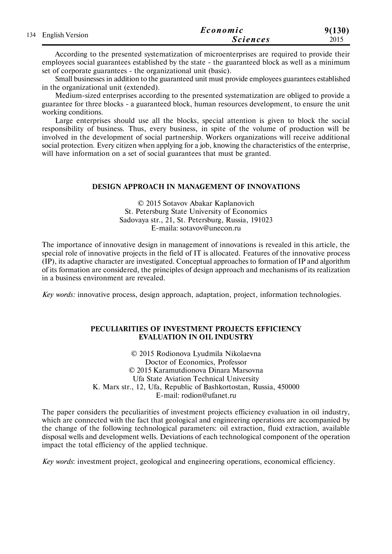| 134 English Version | Economic | 9(130)          |      |
|---------------------|----------|-----------------|------|
|                     |          | <b>Sciences</b> | 2015 |

According to the presented systematization of microenterprises are required to provide their employees social guarantees established by the state - the guaranteed block as well as a minimum set of corporate guarantees - the organizational unit (basic).

Small businesses in addition to the guaranteed unit must provide employees guarantees established in the organizational unit (extended).

Medium-sized enterprises according to the presented systematization are obliged to provide a guarantee for three blocks - a guaranteed block, human resources development, to ensure the unit working conditions.

Large enterprises should use all the blocks, special attention is given to block the social responsibility of business. Thus, every business, in spite of the volume of production will be involved in the development of social partnership. Workers organizations will receive additional social protection. Every citizen when applying for a job, knowing the characteristics of the enterprise, will have information on a set of social guarantees that must be granted.

#### **DESIGN APPROACH IN MANAGEMENT OF INNOVATIONS**

© 2015 Sotavov Abakar Kaplanovich St. Petersburg State University of Economics Sadovaya str., 21, St. Petersburg, Russia, 191023 E-maila: sotavov@unecon.ru

The importance of innovative design in management of innovations is revealed in this article, the special role of innovative projects in the field of IT is allocated. Features of the innovative process (IP), its adaptive character are investigated. Conceptual approaches to formation of IP and algorithm of its formation are considered, the principles of design approach and mechanisms of its realization in a business environment are revealed.

*Key words:* innovative process, design approach, adaptation, project, information technologies.

#### **PECULIARITIES OF INVESTMENT PROJECTS EFFICIENCY EVALUATION IN OIL INDUSTRY**

© 2015 Rodionova Lyudmila Nikolaevna Doctor of Economics, Professor © 2015 Karamutdionova Dinara Marsovna Ufa State Aviation Technical University K. Marx str., 12, Ufa, Republic of Bashkortostan, Russia, 450000 E-mail: rodion@ufanet.ru

The paper considers the peculiarities of investment projects efficiency evaluation in oil industry, which are connected with the fact that geological and engineering operations are accompanied by the change of the following technological parameters: oil extraction, fluid extraction, available disposal wells and development wells. Deviations of each technological component of the operation impact the total efficiency of the applied technique.

*Key words*: investment project, geological and engineering operations, economical efficiency.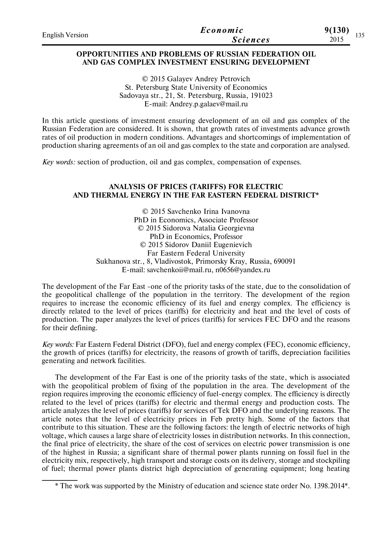| <b>English Version</b> | Economic        | 9(130)        |
|------------------------|-----------------|---------------|
|                        | <b>Sciences</b> | 1 J J<br>2015 |

### **OPPORTUNITIES AND PROBLEMS OF RUSSIAN FEDERATION OIL AND GAS COMPLEX INVESTMENT ENSURING DEVELOPMENT**

© 2015 Galayev Andrey Petrovich St. Petersburg State University of Economics Sadovaya str., 21, St. Petersburg, Russia, 191023 E-mail: Andrey.p.galaev@mail.ru

In this article questions of investment ensuring development of an oil and gas complex of the Russian Federation are considered. It is shown, that growth rates of investments advance growth rates of oil production in modern conditions. Advantages and shortcomings of implementation of production sharing agreements of an oil and gas complex to the state and corporation are analysed.

*Key words:* section of production, oil and gas complex, compensation of expenses.

#### **ANALYSIS OF PRICES (TARIFFS) FOR ELECTRIC AND THERMAL ENERGY IN THE FAR EASTERN FEDERAL DISTRICT\***

© 2015 Savchenko Irina Ivanovna PhD in Economics, Associate Professor © 2015 Sidorova Natalia Georgievna PhD in Economics, Professor © 2015 Sidorov Daniil Еugenievich Far Eastern Federal University Sukhanova str., 8, Vladivostok, Primorsky Kray, Russia, 690091 E-mail: savchenkoii@mail.ru, n0656@yandex.ru

The development of the Far East -one of the priority tasks of the state, due to the consolidation of the geopolitical challenge of the population in the territory. The development of the region requires to increase the economic efficiency of its fuel and energy complex. The efficiency is directly related to the level of prices (tariffs) for electricity and heat and the level of costs of production. The paper analyzes the level of prices (tariffs) for services FEC DFO and the reasons for their defining.

*Key words:* Far Eastern Federal District (DFO), fuel and energy complex (FEC), economic efficiency, the growth of prices (tariffs) for electricity, the reasons of growth of tariffs, depreciation facilities generating and network facilities.

The development of the Far East is one of the priority tasks of the state, which is associated with the geopolitical problem of fixing of the population in the area. The development of the region requires improving the economic efficiency of fuel-energy complex. The efficiency is directly related to the level of prices (tariffs) for electric and thermal energy and production costs. The article analyzes the level of prices (tariffs) for services of Tek DFO and the underlying reasons. The article notes that the level of electricity prices in Feb pretty high. Some of the factors that contribute to this situation. These are the following factors: the length of electric networks of high voltage, which causes a large share of electricity losses in distribution networks. In this connection, the final price of electricity, the share of the cost of services on electric power transmission is one of the highest in Russia; a significant share of thermal power plants running on fossil fuel in the electricity mix, respectively, high transport and storage costs on its delivery, storage and stockpiling of fuel; thermal power plants district high depreciation of generating equipment; long heating

<sup>\*</sup> The work was supported by the Ministry of education and science state order No. 1398.2014\*.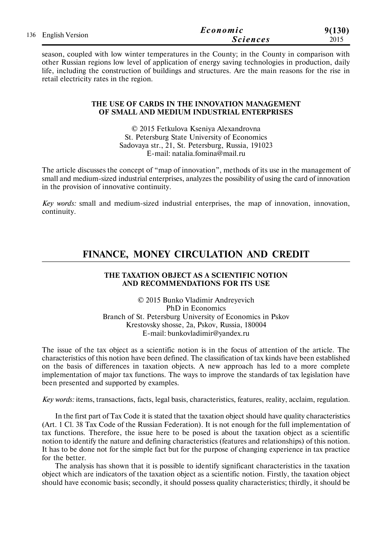| 136 English Version | Economic        | 9(130) |
|---------------------|-----------------|--------|
|                     | <b>Sciences</b> | 2015   |

season, coupled with low winter temperatures in the County; in the County in comparison with other Russian regions low level of application of energy saving technologies in production, daily life, including the construction of buildings and structures. Are the main reasons for the rise in retail electricity rates in the region.

#### **THE USE OF CARDS IN THE INNOVATION MANAGEMENT OF SMALL AND MEDIUM INDUSTRIAL ENTERPRISES**

© 2015 Fetkulova Kseniya Alexandrovna St. Petersburg State University of Economics Sadovaya str., 21, St. Petersburg, Russia, 191023 E-mail: natalia.fomina@mail.ru

The article discusses the concept of "map of innovation", methods of its use in the management of small and medium-sized industrial enterprises, analyzes the possibility of using the card of innovation in the provision of innovative continuity.

*Key words:* small and medium-sized industrial enterprises, the map of innovation, innovation, continuity.

# **FINANCE, MONEY CIRCULATION AND CREDIT**

## **THE TAXATION OBJECT AS A SCIENTIFIC NOTION AND RECOMMENDATIONS FOR ITS USE**

© 2015 Bunko Vladimir Andreyevich PhD in Economics Branch of St. Petersburg University of Economics in Pskov Krestovsky shosse, 2a, Pskov, Russia, 180004 Е-mail: bunkovladimir@yandex.ru

The issue of the tax object as a scientific notion is in the focus of attention of the article. The characteristics of this notion have been defined. The classification of tax kinds have been established on the basis of differences in taxation objects. A new approach has led to a more complete implementation of major tax functions. The ways to improve the standards of tax legislation have been presented and supported by examples.

*Key words:* items, transactions, facts, legal basis, characteristics, features, reality, acclaim, regulation.

In the first part of Tax Code it is stated that the taxation object should have quality characteristics (Art. 1 Cl. 38 Tax Code of the Russian Federation). It is not enough for the full implementation of tax functions. Therefore, the issue here to be posed is about the taxation object as a scientific notion to identify the nature and defining characteristics (features and relationships) of this notion. It has to be done not for the simple fact but for the purpose of changing experience in tax practice for the better.

The analysis has shown that it is possible to identify significant characteristics in the taxation object which are indicators of the taxation object as a scientific notion. Firstly, the taxation object should have economic basis; secondly, it should possess quality characteristics; thirdly, it should be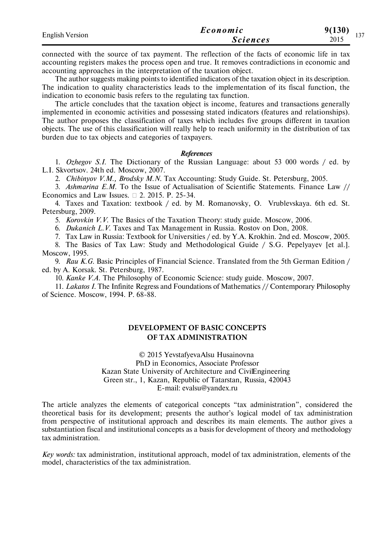| <b>English Version</b> | Economic        | 9(130)<br>1.27 |
|------------------------|-----------------|----------------|
|                        | <b>Sciences</b> | 1.31<br>2015   |

connected with the source of tax payment. The reflection of the facts of economic life in tax accounting registers makes the process open and true. It removes contradictions in economic and accounting approaches in the interpretation of the taxation object.

The author suggests making points to identified indicators of the taxation object in its description. The indication to quality characteristics leads to the implementation of its fiscal function, the indication to economic basis refers to the regulating tax function.

The article concludes that the taxation object is income, features and transactions generally implemented in economic activities and possessing stated indicators (features and relationships). The author proposes the classification of taxes which includes five groups different in taxation objects. The use of this classification will really help to reach uniformity in the distribution of tax burden due to tax objects and categories of taxpayers.

#### *References*

1. *Ozhegov S.I.* The Dictionary of the Russian Language: about 53 000 words / ed. by L.I. Skvortsov. 24th ed. Moscow, 2007.

2. *Chibinyov V.M., Brodsky M.N.* Tax Accounting: Study Guide. St. Petersburg, 2005.

3. *Ashmarina E.M.* To the Issue of Actualisation of Scientific Statements. Finance Law // Economics and Law Issues.  $\Box$  2. 2015. P. 25-34.

4. Taxes and Taxation: textbook / ed. by M. Romanovsky, O. Vrublevskaya. 6th ed. St. Petersburg, 2009.

5. *Korovkin V.V.* The Basics of the Taxation Theory: study guide. Moscow, 2006.

6. *Dukanich L.V.* Taxes and Tax Management in Russia. Rostov оn Don, 2008.

7. Tax Law in Russia: Textbook for Universities / ed. by Y.A. Krokhin. 2nd ed. Moscow, 2005.

8. The Basics of Tax Law: Study and Methodological Guide / S.G. Pepelyayev [et al.]. Moscow, 1995.

9. *Rau K.G.* Basic Principles of Financial Science. Translated from the 5th German Edition / ed. by A. Korsak. St. Petersburg, 1987.

10. *Kanke V.A.* The Philosophy of Economic Science: study guide. Moscow, 2007.

11. *Lakatos I.* The Infinite Regress and Foundations of Mathematics // Contemporary Philosophy of Science. Moscow, 1994. P. 68-88.

## **DEVELOPMENT OF BASIC CONCEPTS OF TAX ADMINISTRATION**

© 2015 Yevstafyeva Alsu Husainovna PhD in Economics, Associate Professor Kazan State University of Architecture and Civil Engineering Green str., 1, Kazan, Republic of Tatarstan, Russia, 420043 E-mail: evalsu@yandex.ru

The article analyzes the elements of categorical concepts "tax administration", considered the theoretical basis for its development; presents the author's logical model of tax administration from perspective of institutional approach and describes its main elements. The author gives a substantiation fiscal and institutional concepts as a basis for development of theory and methodology tax administration.

*Key words:* tax administration, institutional approach, model of tax administration, elements of the model, characteristics of the tax administration.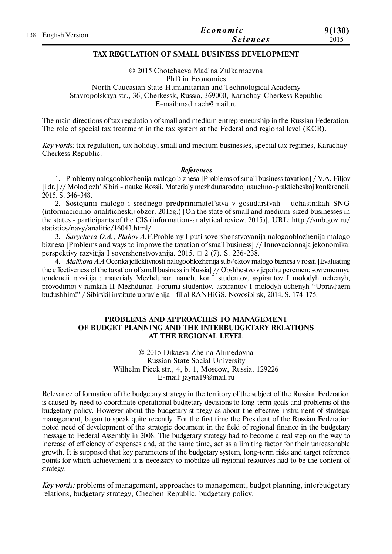|  | 138 English Version | Economic        | 9(130) |
|--|---------------------|-----------------|--------|
|  |                     | <b>Sciences</b> | 2015   |

## **TAX REGULATION OF SMALL BUSINESS DEVELOPMENT**

© 2015 Chotchaeva Madina Zulkarnaevna PhD in Economics North Caucasian State Humanitarian and Technological Academy Stavropolskaya str., 36, Cherkessk, Russia, 369000, Karachay-Cherkess Republic Е-mail:madinach@mail.ru

The main directions of tax regulation of small and medium entrepreneurship in the Russian Federation. The role of special tax treatment in the tax system at the Federal and regional level (KCR).

*Key words:* tax regulation, tax holiday, small and medium businesses, special tax regimes, Karachay-Cherkess Republic.

#### *References*

1. Problemy nalogooblozhenija malogo biznesa [Problems of small business taxation] / V.A. Filjov [i dr.] // Molodjozh' Sibiri - nauke Rossii. Materialy mezhdunarodnoj nauchno-prakticheskoj konferencii. 2015. S. 346-348.

2. Sostojanii malogo i srednego predprinimatel'stva v gosudarstvah - uchastnikah SNG (informacionno-analiticheskij obzor. 2015g.) [On the state of small and medium-sized businesses in the states - participants of the CIS (information-analytical review. 2015)]. URL: http://smb.gov.ru/ statistics/navy/analitic/16043.html/

3. *Sarycheva O.A., Plahov A.V.*Problemy I puti sovershenstvovanija nalogooblozhenija malogo biznesa [Problems and ways to improve the taxation of small business] // Innovacionnaja jekonomika: perspektivy razvitija I sovershenstvovanija. 2015.  $\Box$  2 (7). S. 236-238.

4. *Malikova A.A.*Ocenka jeffektivnosti nalogooblozhenija sub#ektov malogo biznesa v rossii [Evaluating the effectiveness of the taxation of small business in Russia] // Obshhestvo v jepohu peremen: sovremennye tendencii razvitija : materialy Mezhdunar. nauch. konf. studentov, aspirantov I molodyh uchenyh, provodimoj v ramkah II Mezhdunar. Foruma studentov, aspirantov I molodyh uchenyh "Upravljaem budushhim!" / Sibirskij institute upravlenija - filial RANHiGS. Novosibirsk, 2014. S. 174-175.

#### **PROBLEMS AND APPROACHES TO MANAGEMENT OF BUDGET PLANNING AND THE INTERBUDGETARY RELATIONS AT THE REGIONAL LEVEL**

© 2015 Dikaeva Zheina Ahmedovna Russian State Social University Wilhelm Pieck str., 4, b. 1, Moscow, Russia, 129226 E-mail: jayna19@mail.ru

Relevance of formation of the budgetary strategy in the territory of the subject of the Russian Federation is caused by need to coordinate operational budgetary decisions to long-term goals and problems of the budgetary policy. However about the budgetary strategy as about the effective instrument of strategic management, began to speak quite recently. For the first time the President of the Russian Federation noted need of development of the strategic document in the field of regional finance in the budgetary message to Federal Assembly in 2008. The budgetary strategy had to become a real step on the way to increase of efficiency of expenses and, at the same time, act as a limiting factor for their unreasonable growth. It is supposed that key parameters of the budgetary system, long-term risks and target reference points for which achievement it is necessary to mobilize all regional resources had to be the content of strategy.

*Key words:* problems of management, approaches to management, budget planning, interbudgetary relations, budgetary strategy, Chechen Republic, budgetary policy.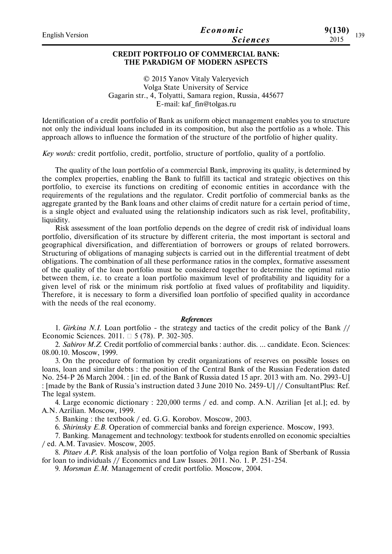| English Version | Economic        | 9(130) |     |
|-----------------|-----------------|--------|-----|
|                 | <b>Sciences</b> | 2015   | 139 |
|                 |                 |        |     |

## **CREDIT PORTFOLIO OF COMMERCIAL BANK: THE PARADIGM OF MODERN ASPECTS**

© 2015 Yanov Vitaly Valeryevich Volga State University of Service Gagarin str., 4, Tolyatti, Samara region, Russia, 445677 E-mail: kaf\_fin@tolgas.ru

Identification of a credit portfolio of Bank as uniform object management enables you to structure not only the individual loans included in its composition, but also the portfolio as a whole. This approach allows to influence the formation of the structure of the portfolio of higher quality.

*Key words:* credit portfolio, credit, portfolio, structure of portfolio, quality of a portfolio.

The quality of the loan portfolio of a commercial Bank, improving its quality, is determined by the complex properties, enabling the Bank to fulfill its tactical and strategic objectives on this portfolio, to exercise its functions on crediting of economic entities in accordance with the requirements of the regulations and the regulator. Credit portfolio of commercial banks as the aggregate granted by the Bank loans and other claims of credit nature for a certain period of time, is a single object and evaluated using the relationship indicators such as risk level, profitability, liquidity.

Risk assessment of the loan portfolio depends on the degree of credit risk of individual loans portfolio, diversification of its structure by different criteria, the most important is sectoral and geographical diversification, and differentiation of borrowers or groups of related borrowers. Structuring of obligations of managing subjects is carried out in the differential treatment of debt obligations. The combination of all these performance ratios in the complex, formative assessment of the quality of the loan portfolio must be considered together to determine the optimal ratio between them, i.e. to create a loan portfolio maximum level of profitability and liquidity for a given level of risk or the minimum risk portfolio at fixed values of profitability and liquidity. Therefore, it is necessary to form a diversified loan portfolio of specified quality in accordance with the needs of the real economy.

#### *References*

1. *Girkina N.I.* Loan portfolio - the strategy and tactics of the credit policy of the Bank // Economic Sciences. 2011. 5 (78). P. 302-305.

2. *Sabirov M.Z.* Credit portfolio of commercial banks : author. dis. ... candidate. Econ. Sciences: 08.00.10. Moscow, 1999.

3. On the procedure of formation by credit organizations of reserves on possible losses on loans, loan and similar debts : the position of the Central Bank of the Russian Federation dated No. 254-P 26 March 2004. : [in ed. of the Bank of Russia dated 15 apr. 2013 with am. No. 2993-U] : [made by the Bank of Russia's instruction dated 3 June 2010 No. 2459-U] // ConsultantPlus: Ref. The legal system.

4. Large economic dictionary : 220,000 terms / ed. and comp. A.N. Azrilian [et al.]; ed. by A.N. Azrilian. Moscow, 1999.

5. Banking : the textbook / ed. G.G. Korobov. Moscow, 2003.

6. *Shirinsky E.B.* Operation of commercial banks and foreign experience. Moscow, 1993.

7. Banking. Management and technology: textbook for students enrolled on economic specialties / ed. A.M. Tavasiev. Moscow, 2005.

8. *Pitaev A.P.* Risk analysis of the loan portfolio of Volga region Bank of Sberbank of Russia for loan to individuals // Economics and Law Issues. 2011. No. 1. P. 251-254.

9. *Morsman E.M.* Management of credit portfolio. Moscow, 2004.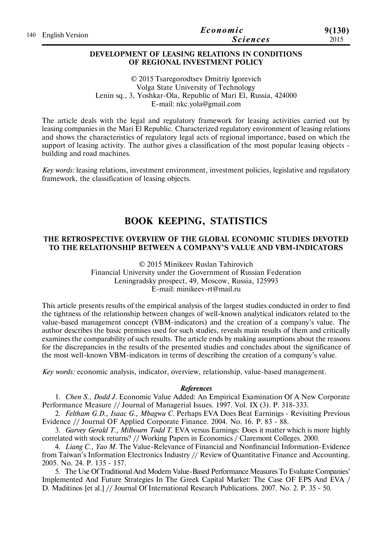|  | 140 English Version | Economic        | 9(130) |
|--|---------------------|-----------------|--------|
|  |                     | <i>Sciences</i> | 2015   |

#### **DEVELOPMENT OF LEASING RELATIONS IN CONDITIONS OF REGIONAL INVESTMENT POLICY**

© 2015 Tsaregorodtsev Dmitriy Igorevich Volga State University of Technology Lenin sq., 3, Yoshkar-Ola, Republic of Mari El, Russia, 424000 E-mail: nkc.yola@gmail.com

The article deals with the legal and regulatory framework for leasing activities carried out by leasing companies in the Mari El Republic. Characterized regulatory environment of leasing relations and shows the characteristics of regulatory legal acts of regional importance, based on which the support of leasing activity. The author gives a classification of the most popular leasing objects building and road machines.

*Key words:* leasing relations, investment environment, investment policies, legislative and regulatory framework, the classification of leasing objects.

# **BOOK KEEPING, STATISTICS**

### **THE RETROSPECTIVE OVERVIEW OF THE GLOBAL ECONOMIC STUDIES DEVOTED TO THE RELATIONSHIP BETWEEN A COMPANY'S VALUE AND VBM-INDICATORS**

© 2015 Minikeev Ruslan Tahirovich Financial University under the Government of Russian Federation Leningradsky prospect, 49, Moscow, Russia, 125993 E-mail: minikeev-rt@mail.ru

This article presents results of the empirical analysis of the largest studies conducted in order to find the tightness of the relationship between changes of well-known analytical indicators related to the value-based management concept (VBM-indicators) and the creation of a company's value. The author describes the basic premises used for such studies, reveals main results of them and critically examines the comparability of such results. The article ends by making assumptions about the reasons for the discrepancies in the results of the presented studies and concludes about the significance of the most well-known VBM-indicators in terms of describing the creation of a company's value.

*Key words:* economic analysis, indicator, overview, relationship, value-based management.

#### *References*

1. *Chen S., Dodd J.* Economic Value Added: An Empirical Examination Of A New Corporate Performance Measure // Journal of Managerial Issues. 1997. Vol. IX (3). Р. 318-333.

2. *Feltham G.D., Isaac G., Mbagwu C.* Perhaps EVA Does Beat Earninigs - Revisiting Previous Evidence // Journal OF Applied Corporate Finance. 2004. No. 16. Р. 83 - 88.

3. *Garvey Gerald T., Milbourn Todd T.* EVA versus Earnings: Does it matter which is more highly correlated with stock returns? // Working Papers in Economics / Claremont Colleges. 2000.

4. *Liang C., Yao M.* The Value-Relevance of Financial and Nonfinancial Information-Evidence from Taiwan's Information Electronics Industry // Review of Quantitative Finance and Accounting. 2005. No. 24. Р. 135 - 157.

5. The Use Of Traditional And Modern Value-Based Performance Measures To Evaluate Companies' Implemented And Future Strategies In The Greek Capital Market: The Case OF EPS And EVA / D. Maditinos [et al.] // Journal Of International Research Publications. 2007. No. 2. Р. 35 - 50.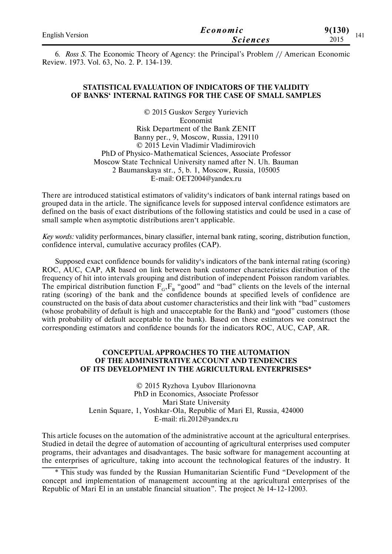| <b>English Version</b> | Economic        | 9(130) |
|------------------------|-----------------|--------|
|                        | <i>Sciences</i> | 2015   |

6. *Ross S.* The Economic Theory of Agency: the Principal's Problem // American Economic Review. 1973. Vol. 63, No. 2. P. 134-139.

### **STATISTICAL EVALUATION OF INDICATORS OF THE VALIDITY OF BANKS' INTERNAL RATINGS FOR THE CASE OF SMALL SAMPLES**

© 2015 Guskov Sergey Yurievich Economist Risk Department of the Bank ZENIT Banny per., 9, Moscow, Russia, 129110 © 2015 Levin Vladimir Vladimirovich PhD of Physico-Mathematical Sciences, Associate Professor Moscow State Technical University named after N. Uh. Bauman 2 Baumanskaya str., 5, b. 1, Moscow, Russia, 105005 E-mail: OET2004@yandex.ru

There are introduced statistical estimators of validity's indicators of bank internal ratings based on grouped data in the article. The significance levels for supposed interval confidence estimators are defined on the basis of exact distributions of the following statistics and could be used in a case of small sample when asymptotic distributions aren't applicable.

*Key words:* validity performances, binary classifier, internal bank rating, scoring, distribution function, confidence interval, cumulative accuracy profiles (CAP).

Supposed exact confidence bounds for validity's indicators of the bank internal rating (scoring) ROC, AUC, CAP, AR based on link between bank customer characteristics distribution of the frequency of hit into intervals grouping and distribution of independent Poisson random variables. The empirical distribution function  $F_{G}F_{B}$  "good" and "bad" clients on the levels of the internal rating (scoring) of the bank and the confidence bounds at specified levels of confidence are counstructed on the basis of data about customer characteristics and their link with "bad" customers (whose probability of default is high and unacceptable for the Bank) and "good" customers (those with probability of default acceptable to the bank). Based on these estimators we construct the corresponding estimators and confidence bounds for the indicators ROC, AUC, CAP, AR.

### **CONCEPTUAL APPROACHES TO THE AUTOMATION OF THE ADMINISTRATIVE ACCOUNT AND TENDENCIES OF ITS DEVELOPMENT IN THE AGRICULTURAL ENTERPRISES\***

© 2015 Ryzhova Lyubov Illarionovna PhD in Economics, Associate Professor Mari State University Lenin Square, 1, Yoshkar-Ola, Republic оf Mari El, Russia, 424000 E-mail: rli.2012@yandex.ru

This article focuses on the automation of the administrative account at the agricultural enterprises. Studied in detail the degree of automation of accounting of agricultural enterprises used computer programs, their advantages and disadvantages. The basic software for management accounting at the enterprises of agriculture, taking into account the technological features of the industry. It

<sup>\*</sup> This study was funded by the Russian Humanitarian Scientific Fund "Development of the concept and implementation of management accounting at the agricultural enterprises of the Republic of Mari El in an unstable financial situation". The project № 14-12-12003.